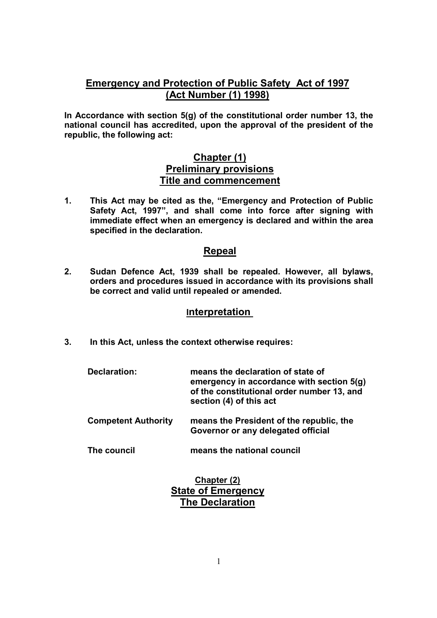# **Emergency and Protection of Public Safety Act of 1997 (Act Number (1) 1998)**

**In Accordance with section 5(g) of the constitutional order number 13, the national council has accredited, upon the approval of the president of the republic, the following act:** 

## **Chapter (1) Preliminary provisions Title and commencement**

**1. This Act may be cited as the, "Emergency and Protection of Public Safety Act, 1997", and shall come into force after signing with immediate effect when an emergency is declared and within the area specified in the declaration.** 

## **Repeal**

**2. Sudan Defence Act, 1939 shall be repealed. However, all bylaws, orders and procedures issued in accordance with its provisions shall be correct and valid until repealed or amended.** 

## **Interpretation**

**3. In this Act, unless the context otherwise requires:** 

| Declaration:               | means the declaration of state of<br>emergency in accordance with section 5(g)<br>of the constitutional order number 13, and<br>section (4) of this act |
|----------------------------|---------------------------------------------------------------------------------------------------------------------------------------------------------|
| <b>Competent Authority</b> | means the President of the republic, the<br>Governor or any delegated official                                                                          |
| The council                | means the national council                                                                                                                              |

## **Chapter (2) State of Emergency The Declaration**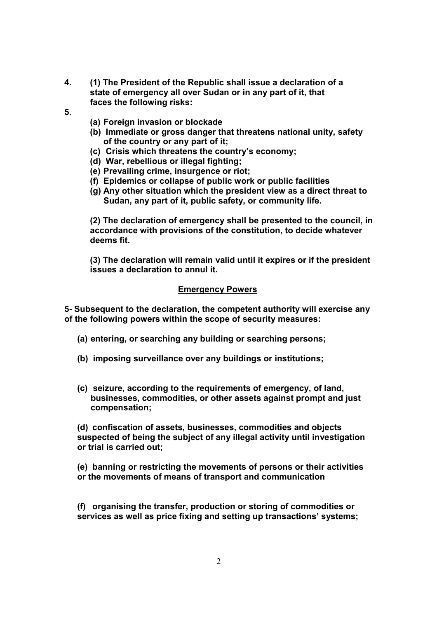- **4. (1) The President of the Republic shall issue a declaration of a state of emergency all over Sudan or in any part of it, that faces the following risks:**
- **5.**
- **(a) Foreign invasion or blockade**
- **(b) Immediate or gross danger that threatens national unity, safety of the country or any part of it;**
- **(c) Crisis which threatens the country's economy;**
- **(d) War, rebellious or illegal fighting;**
- **(e) Prevailing crime, insurgence or riot;**
- **(f) Epidemics or collapse of public work or public facilities**
- **(g) Any other situation which the president view as a direct threat to Sudan, any part of it, public safety, or community life.**

**(2) The declaration of emergency shall be presented to the council, in accordance with provisions of the constitution, to decide whatever deems fit.** 

**(3) The declaration will remain valid until it expires or if the president issues a declaration to annul it.** 

#### **Emergency Powers**

**5- Subsequent to the declaration, the competent authority will exercise any of the following powers within the scope of security measures:** 

- **(a) entering, or searching any building or searching persons;**
- **(b) imposing surveillance over any buildings or institutions;**
- **(c) seizure, according to the requirements of emergency, of land, businesses, commodities, or other assets against prompt and just compensation;**

**(d) confiscation of assets, businesses, commodities and objects suspected of being the subject of any illegal activity until investigation or trial is carried out;** 

**(e) banning or restricting the movements of persons or their activities or the movements of means of transport and communication** 

**(f) organising the transfer, production or storing of commodities or services as well as price fixing and setting up transactions' systems;**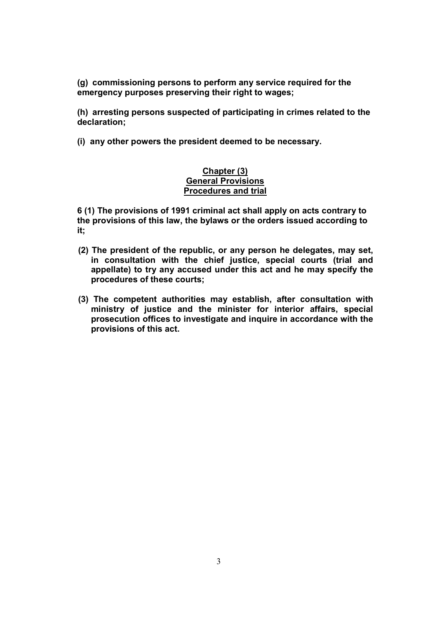**(g) commissioning persons to perform any service required for the emergency purposes preserving their right to wages;** 

**(h) arresting persons suspected of participating in crimes related to the declaration;** 

**(i) any other powers the president deemed to be necessary.** 

### **Chapter (3) General Provisions Procedures and trial**

**6 (1) The provisions of 1991 criminal act shall apply on acts contrary to the provisions of this law, the bylaws or the orders issued according to it;** 

- **(2) The president of the republic, or any person he delegates, may set, in consultation with the chief justice, special courts (trial and appellate) to try any accused under this act and he may specify the procedures of these courts;**
- **(3) The competent authorities may establish, after consultation with ministry of justice and the minister for interior affairs, special prosecution offices to investigate and inquire in accordance with the provisions of this act.**